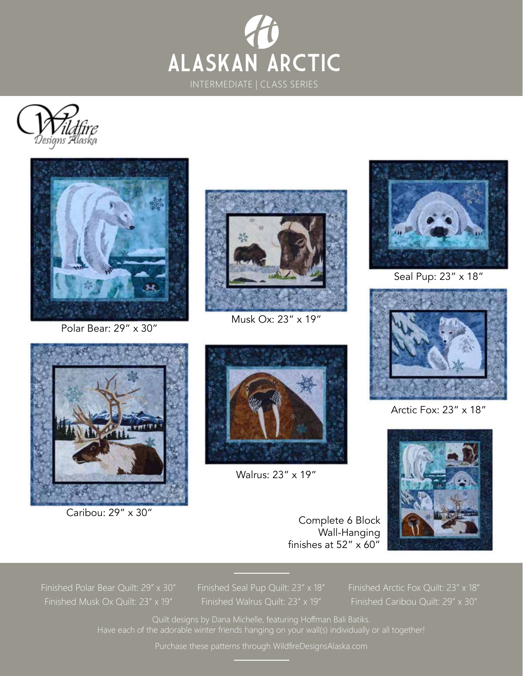





Polar Bear: 29" x 30"



Musk Ox: 23" x 19"

Walrus: 23" x 19"



Seal Pup: 23" x 18"



Arctic Fox: 23" x 18"



Complete 6 Block Wall-Hanging finishes at 52" x 60"

Finished Polar Bear Quilt: 29" x 30" Finished Musk Ox Quilt: 23" x 19"

Caribou: 29" x 30"

Finished Walrus Quilt: 23" x 19"

Finished Arctic Fox Quilt: 23" x 18" Finished Caribou Quilt: 29" x 30"

Quilt designs by Dana Michelle, featuring Hoffman Bali Batiks. Have each of the adorable winter friends hanging on your wall(s) individually or all together!

Purchase these patterns through WildfireDesignsAlaska.com